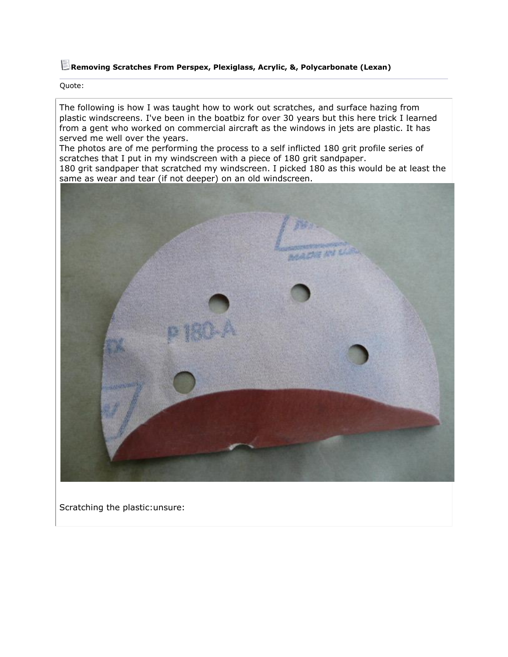## **Removing Scratches From Perspex, Plexiglass, Acrylic, &, Polycarbonate (Lexan)**

Quote:

The following is how I was taught how to work out scratches, and surface hazing from plastic windscreens. I've been in the boatbiz for over 30 years but this here trick I learned from a gent who worked on commercial aircraft as the windows in jets are plastic. It has served me well over the years.

The photos are of me performing the process to a self inflicted 180 grit profile series of scratches that I put in my windscreen with a piece of 180 grit sandpaper.

180 grit sandpaper that scratched my windscreen. I picked 180 as this would be at least the same as wear and tear (if not deeper) on an old windscreen.



Scratching the plastic:unsure: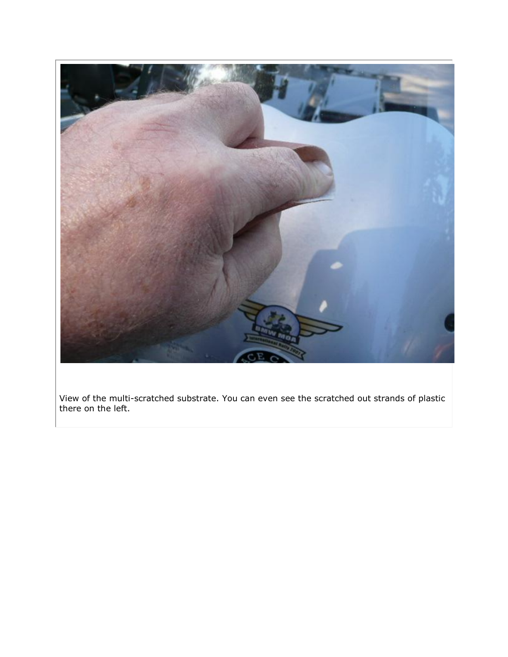

View of the multi-scratched substrate. You can even see the scratched out strands of plastic there on the left.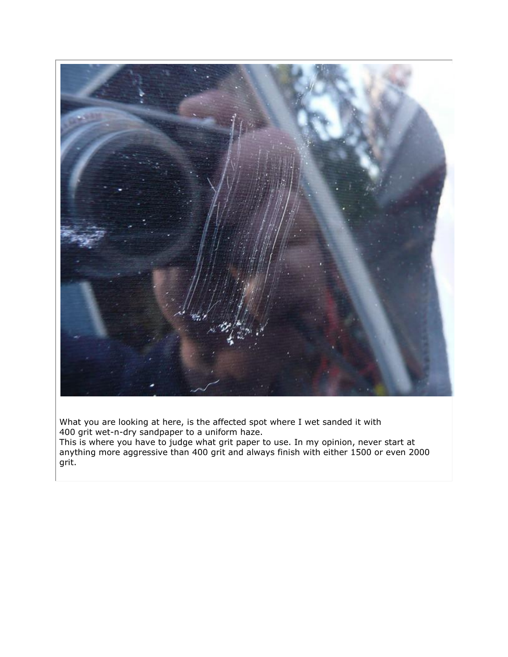

What you are looking at here, is the affected spot where I wet sanded it with 400 grit wet-n-dry sandpaper to a uniform haze.

This is where you have to judge what grit paper to use. In my opinion, never start at anything more aggressive than 400 grit and always finish with either 1500 or even 2000 grit.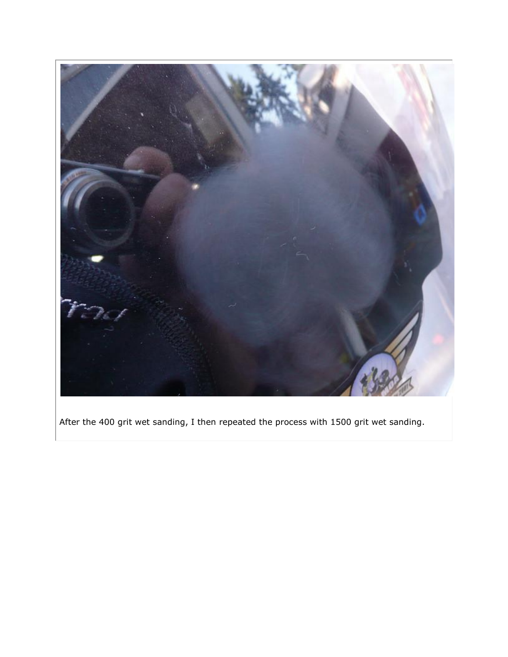

After the 400 grit wet sanding, I then repeated the process with 1500 grit wet sanding.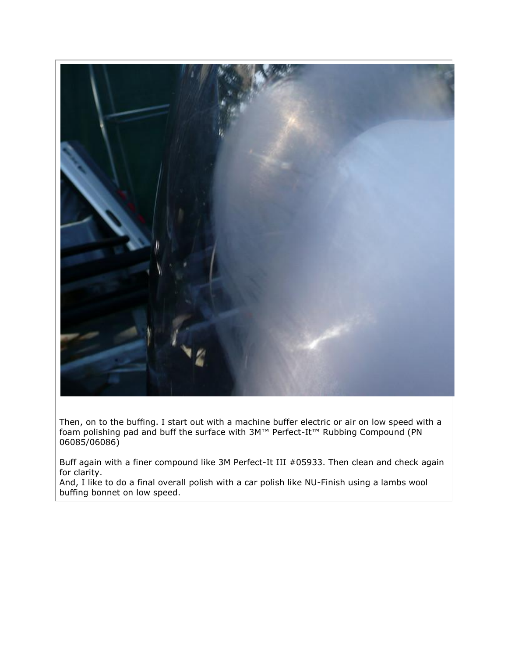

Then, on to the buffing. I start out with a machine buffer electric or air on low speed with a foam polishing pad and buff the surface with 3M™ Perfect-It™ Rubbing Compound (PN 06085/06086)

Buff again with a finer compound like 3M Perfect-It III #05933. Then clean and check again for clarity.

And, I like to do a final overall polish with a car polish like NU-Finish using a lambs wool buffing bonnet on low speed.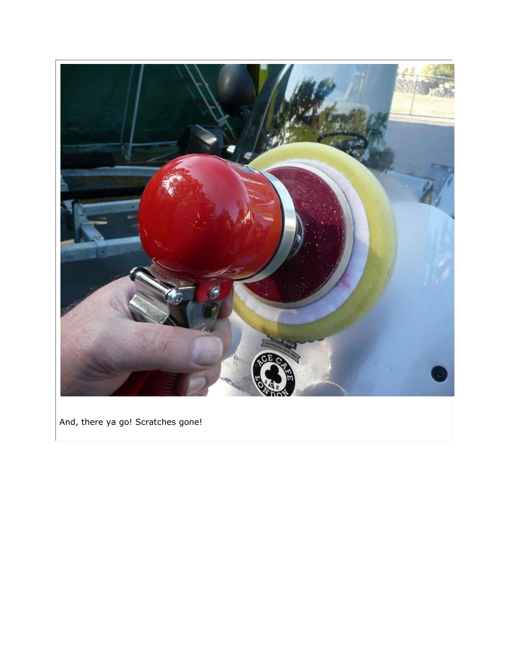

And, there ya go! Scratches gone!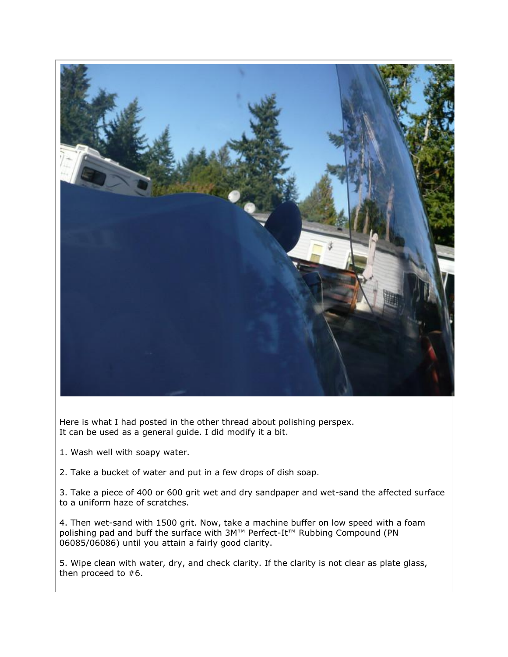

Here is what I had posted in the other thread about polishing perspex. It can be used as a general guide. I did modify it a bit.

1. Wash well with soapy water.

2. Take a bucket of water and put in a few drops of dish soap.

3. Take a piece of 400 or 600 grit wet and dry sandpaper and wet-sand the affected surface to a uniform haze of scratches.

4. Then wet-sand with 1500 grit. Now, take a machine buffer on low speed with a foam polishing pad and buff the surface with 3M<sup>™</sup> Perfect-It<sup>™</sup> Rubbing Compound (PN 06085/06086) until you attain a fairly good clarity.

5. Wipe clean with water, dry, and check clarity. If the clarity is not clear as plate glass, then proceed to #6.